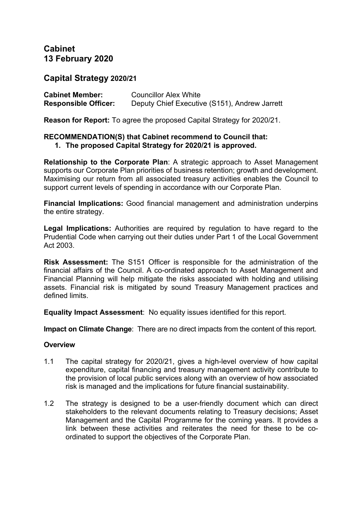# **Cabinet 13 February 2020**

## **Capital Strategy 2020/21**

| <b>Cabinet Member:</b>      | <b>Councillor Alex White</b>                  |
|-----------------------------|-----------------------------------------------|
| <b>Responsible Officer:</b> | Deputy Chief Executive (S151), Andrew Jarrett |

**Reason for Report:** To agree the proposed Capital Strategy for 2020/21.

#### **RECOMMENDATION(S) that Cabinet recommend to Council that: 1. The proposed Capital Strategy for 2020/21 is approved.**

**Relationship to the Corporate Plan**: A strategic approach to Asset Management supports our Corporate Plan priorities of business retention; growth and development. Maximising our return from all associated treasury activities enables the Council to support current levels of spending in accordance with our Corporate Plan.

**Financial Implications:** Good financial management and administration underpins the entire strategy.

**Legal Implications:** Authorities are required by regulation to have regard to the Prudential Code when carrying out their duties under Part 1 of the Local Government Act 2003.

**Risk Assessment:** The S151 Officer is responsible for the administration of the financial affairs of the Council. A co-ordinated approach to Asset Management and Financial Planning will help mitigate the risks associated with holding and utilising assets. Financial risk is mitigated by sound Treasury Management practices and defined limits.

**Equality Impact Assessment**: No equality issues identified for this report.

**Impact on Climate Change**: There are no direct impacts from the content of this report.

## **Overview**

- 1.1 The capital strategy for 2020/21, gives a high-level overview of how capital expenditure, capital financing and treasury management activity contribute to the provision of local public services along with an overview of how associated risk is managed and the implications for future financial sustainability.
- 1.2 The strategy is designed to be a user-friendly document which can direct stakeholders to the relevant documents relating to Treasury decisions; Asset Management and the Capital Programme for the coming years. It provides a link between these activities and reiterates the need for these to be coordinated to support the objectives of the Corporate Plan.